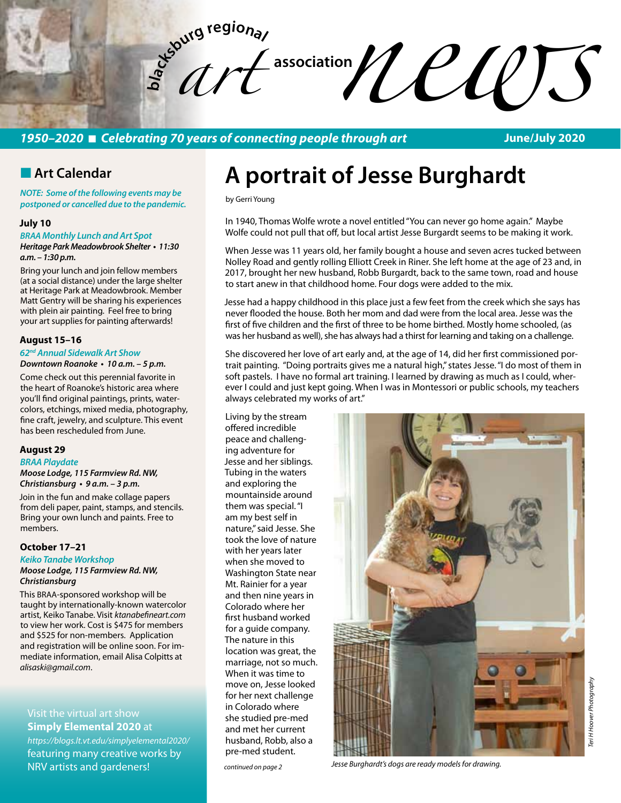

## *1950–2020* n *Celebrating 70 years of connecting people through art*

**June/July 2020**

## **n** Art Calendar

*NOTE: Some of the following events may be postponed or cancelled due to the pandemic.* 

#### **July 10**

*BRAA Monthly Lunch and Art Spot*

**Heritage Park Meadowbrook Shelter • 11:30 a.m. – 1:30 p.m.** 

Bring your lunch and join fellow members (at a social distance) under the large shelter at Heritage Park at Meadowbrook. Member Matt Gentry will be sharing his experiences with plein air painting. Feel free to bring your art supplies for painting afterwards!

#### **August 15–16**

## *62nd Annual Sidewalk Art Show*

**Downtown Roanoke • 10 a.m. – 5 p.m.** 

Come check out this perennial favorite in the heart of Roanoke's historic area where you'll find original paintings, prints, watercolors, etchings, mixed media, photography, fine craft, jewelry, and sculpture. This event has been rescheduled from June.

#### **August 29**

*BRAA Playdate*  **Moose Lodge, 115 Farmview Rd. NW, Christiansburg • 9 a.m. – 3 p.m.** 

Join in the fun and make collage papers from deli paper, paint, stamps, and stencils. Bring your own lunch and paints. Free to members.

#### **October 17–21**

**Keiko Tanabe Workshop**

#### **Moose Lodge, 115 Farmview Rd. NW,**  *Christiansburg*

This BRAA-sponsored workshop will be taught by internationally-known watercolor artist, Keiko Tanabe. Visit *ktanabefineart.com* to view her work. Cost is \$475 for members and \$525 for non-members. Application and registration will be online soon. For immediate information, email Alisa Colpitts at *alisaski@gmail.com*.

Visit the virtual art show **Simply Elemental 2020** at

*https://blogs.lt.vt.edu/simplyelemental2020/* featuring many creative works by NRV artists and gardeners!

# **A portrait of Jesse Burghardt**

by Gerri Young

In 1940, Thomas Wolfe wrote a novel entitled "You can never go home again." Maybe Wolfe could not pull that off, but local artist Jesse Burgardt seems to be making it work.

When Jesse was 11 years old, her family bought a house and seven acres tucked between Nolley Road and gently rolling Elliott Creek in Riner. She left home at the age of 23 and, in 2017, brought her new husband, Robb Burgardt, back to the same town, road and house to start anew in that childhood home. Four dogs were added to the mix.

Jesse had a happy childhood in this place just a few feet from the creek which she says has never flooded the house. Both her mom and dad were from the local area. Jesse was the first of five children and the first of three to be home birthed. Mostly home schooled, (as was her husband as well), she has always had a thirst for learning and taking on a challenge.

She discovered her love of art early and, at the age of 14, did her first commissioned portrait painting. "Doing portraits gives me a natural high," states Jesse. "I do most of them in soft pastels. I have no formal art training. I learned by drawing as much as I could, wherever I could and just kept going. When I was in Montessori or public schools, my teachers always celebrated my works of art."

Living by the stream offered incredible peace and challenging adventure for Jesse and her siblings. Tubing in the waters and exploring the mountainside around them was special. "I am my best self in nature," said Jesse. She took the love of nature with her years later when she moved to Washington State near Mt. Rainier for a year and then nine years in Colorado where her first husband worked for a guide company. The nature in this location was great, the marriage, not so much. When it was time to move on, Jesse looked for her next challenge in Colorado where she studied pre-med and met her current husband, Robb, also a pre-med student.



*continued on page 2 Jesse Burghardt's dogs are ready models for drawing.*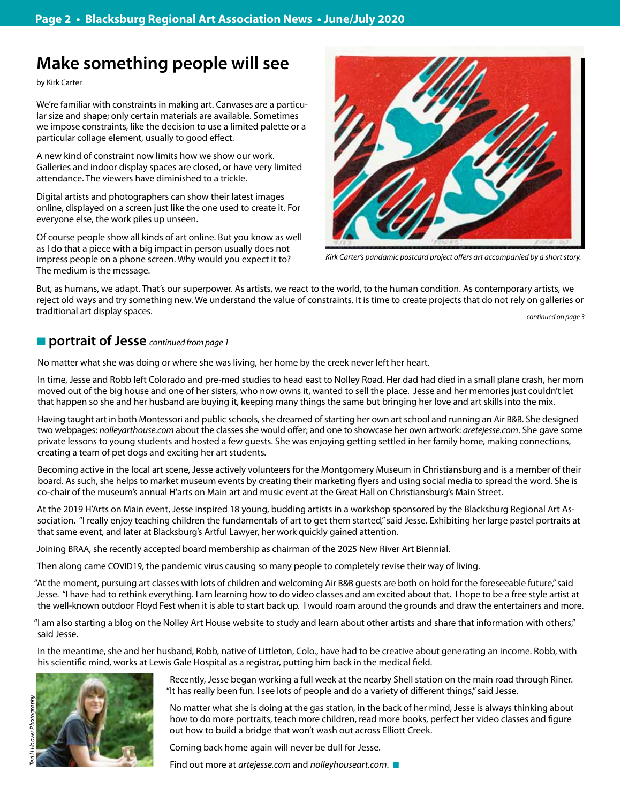## **Make something people will see**

by Kirk Carter

We're familiar with constraints in making art. Canvases are a particular size and shape; only certain materials are available. Sometimes we impose constraints, like the decision to use a limited palette or a particular collage element, usually to good effect.

A new kind of constraint now limits how we show our work. Galleries and indoor display spaces are closed, or have very limited attendance. The viewers have diminished to a trickle.

Digital artists and photographers can show their latest images online, displayed on a screen just like the one used to create it. For everyone else, the work piles up unseen.

Of course people show all kinds of art online. But you know as well as I do that a piece with a big impact in person usually does not impress people on a phone screen. Why would you expect it to? The medium is the message.



*Kirk Carter's pandamic postcard project offers art accompanied by a short story.* 

But, as humans, we adapt. That's our superpower. As artists, we react to the world, to the human condition. As contemporary artists, we reject old ways and try something new. We understand the value of constraints. It is time to create projects that do not rely on galleries or traditional art display spaces. *continued on page 3*

## ■ portrait of Jesse *continued from page 1*

No matter what she was doing or where she was living, her home by the creek never left her heart.

In time, Jesse and Robb left Colorado and pre-med studies to head east to Nolley Road. Her dad had died in a small plane crash, her mom moved out of the big house and one of her sisters, who now owns it, wanted to sell the place. Jesse and her memories just couldn't let that happen so she and her husband are buying it, keeping many things the same but bringing her love and art skills into the mix.

Having taught art in both Montessori and public schools, she dreamed of starting her own art school and running an Air B&B. She designed two webpages: *nolleyarthouse.com* about the classes she would offer; and one to showcase her own artwork: *aretejesse.com*. She gave some private lessons to young students and hosted a few guests. She was enjoying getting settled in her family home, making connections, creating a team of pet dogs and exciting her art students.

Becoming active in the local art scene, Jesse actively volunteers for the Montgomery Museum in Christiansburg and is a member of their board. As such, she helps to market museum events by creating their marketing flyers and using social media to spread the word. She is co-chair of the museum's annual H'arts on Main art and music event at the Great Hall on Christiansburg's Main Street.

At the 2019 H'Arts on Main event, Jesse inspired 18 young, budding artists in a workshop sponsored by the Blacksburg Regional Art Association. "I really enjoy teaching children the fundamentals of art to get them started," said Jesse. Exhibiting her large pastel portraits at that same event, and later at Blacksburg's Artful Lawyer, her work quickly gained attention.

Joining BRAA, she recently accepted board membership as chairman of the 2025 New River Art Biennial.

Then along came COVID19, the pandemic virus causing so many people to completely revise their way of living.

"At the moment, pursuing art classes with lots of children and welcoming Air B&B guests are both on hold for the foreseeable future," said Jesse. "I have had to rethink everything. I am learning how to do video classes and am excited about that. I hope to be a free style artist at the well-known outdoor Floyd Fest when it is able to start back up. I would roam around the grounds and draw the entertainers and more.

"I am also starting a blog on the Nolley Art House website to study and learn about other artists and share that information with others," said Jesse.

In the meantime, she and her husband, Robb, native of Littleton, Colo., have had to be creative about generating an income. Robb, with his scientific mind, works at Lewis Gale Hospital as a registrar, putting him back in the medical field.



Recently, Jesse began working a full week at the nearby Shell station on the main road through Riner. "It has really been fun. I see lots of people and do a variety of different things," said Jesse.

No matter what she is doing at the gas station, in the back of her mind, Jesse is always thinking about how to do more portraits, teach more children, read more books, perfect her video classes and figure out how to build a bridge that won't wash out across Elliott Creek.

Coming back home again will never be dull for Jesse.

Find out more at *artejesse.com* and *nolleyhouseart.com*.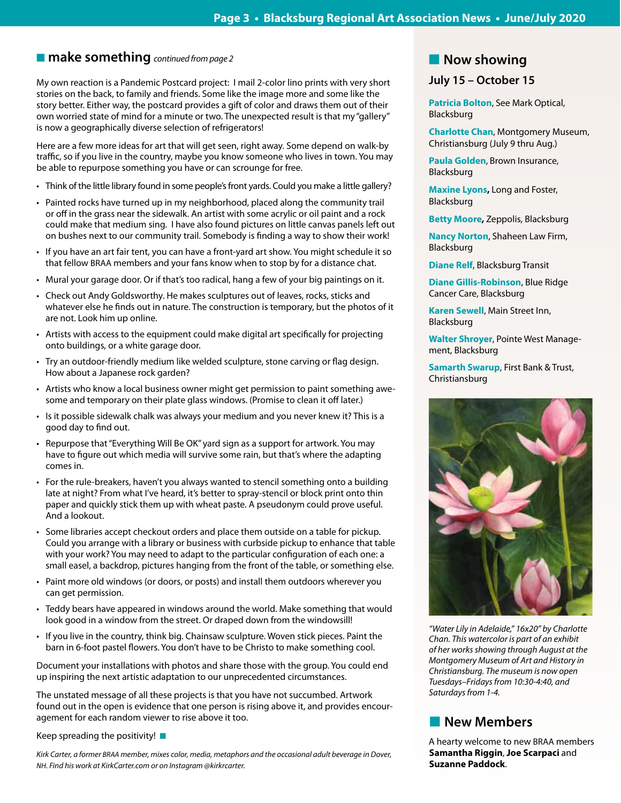Ī

## ■ **make something** *continued from page 2*

My own reaction is a Pandemic Postcard project: I mail 2-color lino prints with very short stories on the back, to family and friends. Some like the image more and some like the story better. Either way, the postcard provides a gift of color and draws them out of their own worried state of mind for a minute or two. The unexpected result is that my "gallery" is now a geographically diverse selection of refrigerators!

Here are a few more ideas for art that will get seen, right away. Some depend on walk-by traffic, so if you live in the country, maybe you know someone who lives in town. You may be able to repurpose something you have or can scrounge for free.

- Think of the little library found in some people's front yards. Could you make a little gallery?
- • Painted rocks have turned up in my neighborhood, placed along the community trail or off in the grass near the sidewalk. An artist with some acrylic or oil paint and a rock could make that medium sing. I have also found pictures on little canvas panels left out on bushes next to our community trail. Somebody is finding a way to show their work!
- • If you have an art fair tent, you can have a front-yard art show. You might schedule it so that fellow BRAA members and your fans know when to stop by for a distance chat.
- Mural your garage door. Or if that's too radical, hang a few of your big paintings on it.
- Check out Andy Goldsworthy. He makes sculptures out of leaves, rocks, sticks and whatever else he finds out in nature. The construction is temporary, but the photos of it are not. Look him up online.
- • Artists with access to the equipment could make digital art specifically for projecting onto buildings, or a white garage door.
- Try an outdoor-friendly medium like welded sculpture, stone carving or flag design. How about a Japanese rock garden?
- Artists who know a local business owner might get permission to paint something awesome and temporary on their plate glass windows. (Promise to clean it off later.)
- Is it possible sidewalk chalk was always your medium and you never knew it? This is a good day to find out.
- • Repurpose that"Everything Will Be OK" yard sign as a support for artwork. You may have to figure out which media will survive some rain, but that's where the adapting comes in.
- • For the rule-breakers, haven't you always wanted to stencil something onto a building late at night? From what I've heard, it's better to spray-stencil or block print onto thin paper and quickly stick them up with wheat paste. A pseudonym could prove useful. And a lookout.
- • Some libraries accept checkout orders and place them outside on a table for pickup. Could you arrange with a library or business with curbside pickup to enhance that table with your work? You may need to adapt to the particular configuration of each one: a small easel, a backdrop, pictures hanging from the front of the table, or something else.
- • Paint more old windows (or doors, or posts) and install them outdoors wherever you can get permission.
- • Teddy bears have appeared in windows around the world. Make something that would look good in a window from the street. Or draped down from the windowsill!
- If you live in the country, think big. Chainsaw sculpture. Woven stick pieces. Paint the barn in 6-foot pastel flowers. You don't have to be Christo to make something cool.

Document your installations with photos and share those with the group. You could end up inspiring the next artistic adaptation to our unprecedented circumstances.

The unstated message of all these projects is that you have not succumbed. Artwork found out in the open is evidence that one person is rising above it, and provides encouragement for each random viewer to rise above it too.

Keep spreading the positivity!  $\blacksquare$ 

*Kirk Carter, a former BRAA member, mixes color, media, metaphors and the occasional adult beverage in Dover, NH. Find his work at KirkCarter.com or on Instagram @kirkrcarter.*

## **Now showing**

## **July 15 – October 15**

**Patricia Bolton**, See Mark Optical, Blacksburg

**Charlotte Chan**, Montgomery Museum, Christiansburg (July 9 thru Aug.)

**Paula Golden**, Brown Insurance, Blacksburg

**Maxine Lyons,** Long and Foster, Blacksburg

**Betty Moore,** Zeppolis, Blacksburg

**Nancy Norton**, Shaheen Law Firm, Blacksburg

**Diane Relf**, Blacksburg Transit

**Diane Gillis-Robinson**, Blue Ridge Cancer Care, Blacksburg

**Karen Sewell**, Main Street Inn, Blacksburg

**Walter Shroyer**, Pointe West Management, Blacksburg

**Samarth Swarup**, First Bank & Trust, Christiansburg



*"Water Lily in Adelaide," 16x20" by Charlotte Chan. This watercolor is part of an exhibit of her works showing through August at the Montgomery Museum of Art and History in Christiansburg. The museum is now open Tuesdays–Fridays from 10:30-4:40, and Saturdays from 1-4.*

## **New Members**

A hearty welcome to new BRAA members **Samantha Riggin**, **Joe Scarpaci** and **Suzanne Paddock**.